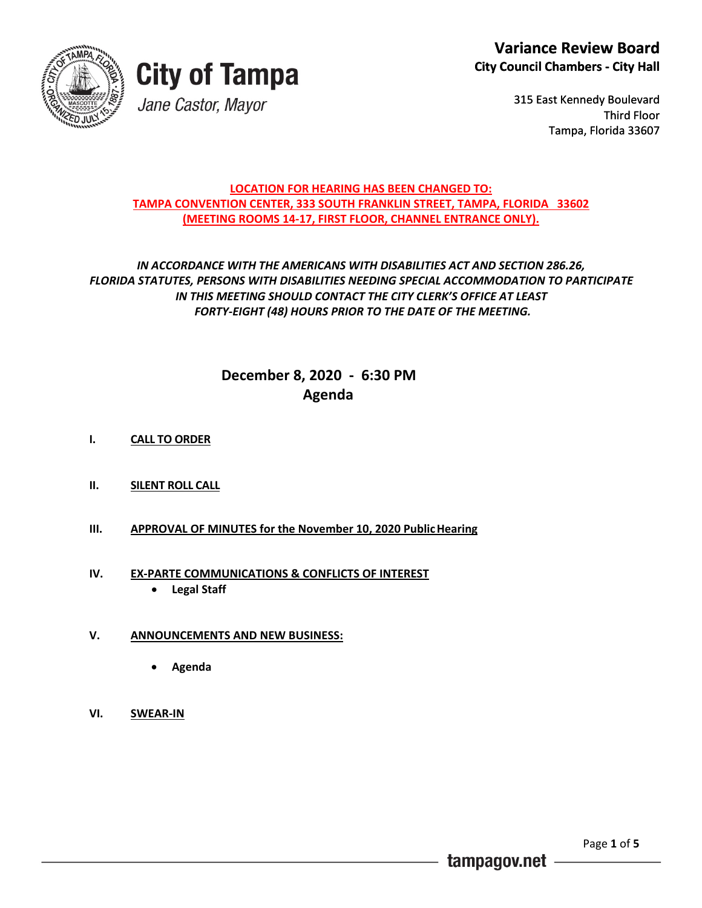



315 East Kennedy Boulevard Third Floor Tampa, Florida 33607 Tampa,

### **LOCATION FOR HEARING HAS BEEN CHANGED TO: TAMPA CONVENTION CENTER, 333 SOUTH FRANKLIN STREET, TAMPA, FLORIDA 33602 (MEETING ROOMS 14-17, FIRST FLOOR, CHANNEL ENTRANCE ONLY).**

### *IN ACCORDANCE WITH THE AMERICANS WITH DISABILITIES ACT AND SECTION 286.26, FLORIDA STATUTES, PERSONS WITH DISABILITIES NEEDING SPECIAL ACCOMMODATION TO PARTICIPATE IN THIS MEETING SHOULD CONTACT THE CITY CLERK'S OFFICE AT LEAST FORTY-EIGHT (48) HOURS PRIOR TO THE DATE OF THE MEETING.*

### **December 8, 2020 - 6:30 PM Agenda**

- **I. CALL TO ORDER**
- **II. SILENT ROLL CALL**
- **III. APPROVAL OF MINUTES for the November 10, 2020 PublicHearing**

### **IV. EX-PARTE COMMUNICATIONS & CONFLICTS OF INTEREST**

- **Legal Staff**
- **V. ANNOUNCEMENTS AND NEW BUSINESS:**
	- **Agenda**
- **VI. SWEAR-IN**

tampagov.net

Page **1** of **5**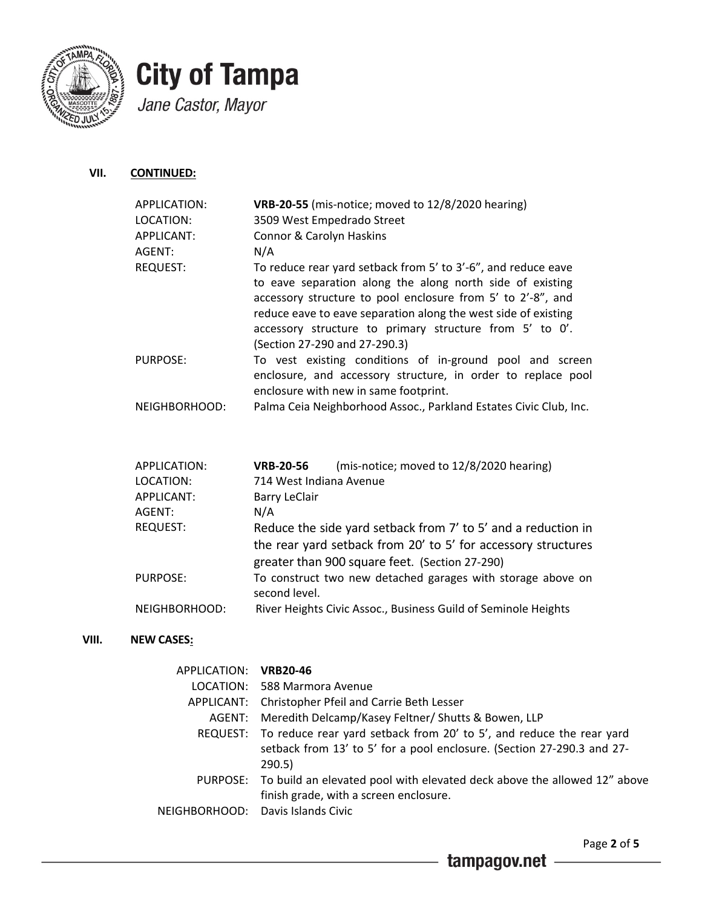

**VIII. NEW CASES:**

### **City of Tampa** Jane Castor, Mayor

**VII. CONTINUED:**

| APPLICATION:<br>LOCATION:<br>APPLICANT:<br>AGENT: | <b>VRB-20-55</b> (mis-notice; moved to 12/8/2020 hearing)<br>3509 West Empedrado Street<br>Connor & Carolyn Haskins<br>N/A                                                                                                                                                                                                                              |
|---------------------------------------------------|---------------------------------------------------------------------------------------------------------------------------------------------------------------------------------------------------------------------------------------------------------------------------------------------------------------------------------------------------------|
| <b>REQUEST:</b>                                   | To reduce rear yard setback from 5' to 3'-6", and reduce eave<br>to eave separation along the along north side of existing<br>accessory structure to pool enclosure from 5' to 2'-8", and<br>reduce eave to eave separation along the west side of existing<br>accessory structure to primary structure from 5' to 0'.<br>(Section 27-290 and 27-290.3) |
| PURPOSE:                                          | To vest existing conditions of in-ground pool and screen<br>enclosure, and accessory structure, in order to replace pool<br>enclosure with new in same footprint.                                                                                                                                                                                       |
| NEIGHBORHOOD:                                     | Palma Ceia Neighborhood Assoc., Parkland Estates Civic Club, Inc.                                                                                                                                                                                                                                                                                       |
| APPLICATION:                                      | (mis-notice; moved to 12/8/2020 hearing)<br><b>VRB-20-56</b>                                                                                                                                                                                                                                                                                            |
| LOCATION:                                         | 714 West Indiana Avenue                                                                                                                                                                                                                                                                                                                                 |
| APPLICANT:                                        | <b>Barry LeClair</b>                                                                                                                                                                                                                                                                                                                                    |
| AGENT:                                            | N/A                                                                                                                                                                                                                                                                                                                                                     |
| <b>REQUEST:</b>                                   | Reduce the side yard setback from 7' to 5' and a reduction in<br>the rear yard setback from 20' to 5' for accessory structures<br>greater than 900 square feet. (Section 27-290)                                                                                                                                                                        |
| <b>PURPOSE:</b>                                   | To construct two new detached garages with storage above on<br>second level.                                                                                                                                                                                                                                                                            |
| NEIGHBORHOOD:                                     | River Heights Civic Assoc., Business Guild of Seminole Heights                                                                                                                                                                                                                                                                                          |
| <b>NEW CASES:</b>                                 |                                                                                                                                                                                                                                                                                                                                                         |
| APPLICATION:                                      | <b>VRB20-46</b>                                                                                                                                                                                                                                                                                                                                         |
| LOCATION:                                         | 588 Marmora Avenue                                                                                                                                                                                                                                                                                                                                      |
| APPLICANT:                                        | Christopher Pfeil and Carrie Beth Lesser                                                                                                                                                                                                                                                                                                                |
| AGENT:                                            | Meredith Delcamp/Kasey Feltner/ Shutts & Bowen, LLP                                                                                                                                                                                                                                                                                                     |
| <b>REQUEST:</b>                                   | To reduce rear yard setback from 20' to 5', and reduce the rear yard<br>setback from 13' to 5' for a pool enclosure. (Section 27-290.3 and 27-                                                                                                                                                                                                          |

290.5) PURPOSE: To build an elevated pool with elevated deck above the allowed 12" above finish grade, with a screen enclosure.

NEIGHBORHOOD: Davis Islands Civic

Page **2** of **5**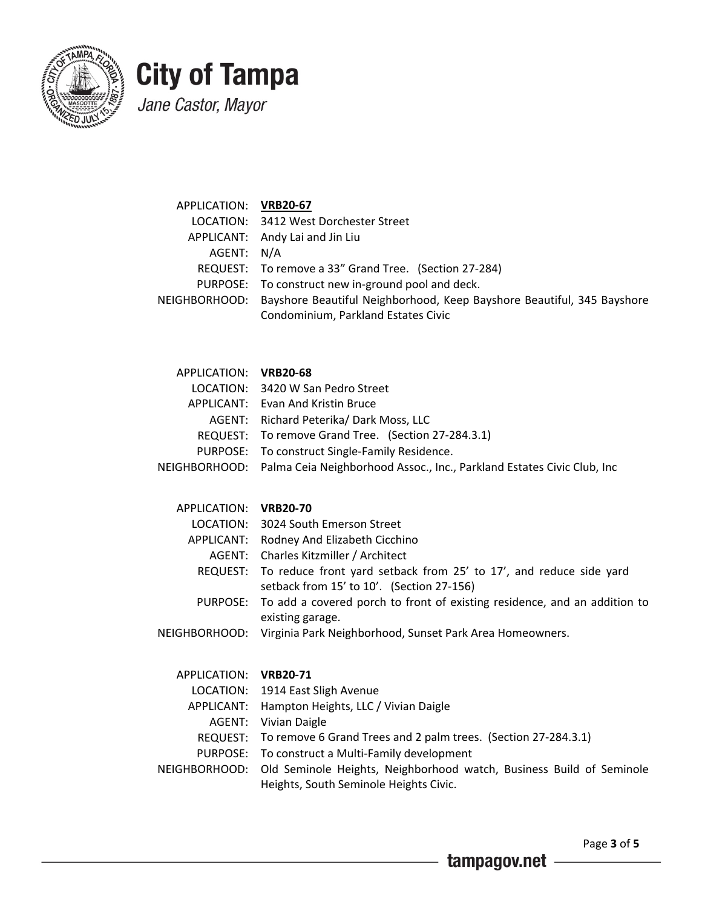

## **City of Tampa** Jane Castor, Mayor

| APPLICATION: VRB20-67 |                                                                                      |
|-----------------------|--------------------------------------------------------------------------------------|
|                       | LOCATION: 3412 West Dorchester Street                                                |
|                       | APPLICANT: Andy Lai and Jin Liu                                                      |
| AGENT: N/A            |                                                                                      |
|                       | REQUEST: To remove a 33" Grand Tree. (Section 27-284)                                |
|                       | PURPOSE: To construct new in-ground pool and deck.                                   |
|                       | NEIGHBORHOOD: Bayshore Beautiful Neighborhood, Keep Bayshore Beautiful, 345 Bayshore |
|                       | Condominium, Parkland Estates Civic                                                  |
|                       |                                                                                      |

| APPLICATION: VRB20-68 |                                                                                      |
|-----------------------|--------------------------------------------------------------------------------------|
|                       | LOCATION: 3420 W San Pedro Street                                                    |
|                       | APPLICANT: Evan And Kristin Bruce                                                    |
|                       | AGENT: Richard Peterika/ Dark Moss, LLC                                              |
|                       | REQUEST: To remove Grand Tree. (Section 27-284.3.1)                                  |
|                       | PURPOSE: To construct Single-Family Residence.                                       |
|                       | NEIGHBORHOOD: Palma Ceia Neighborhood Assoc., Inc., Parkland Estates Civic Club, Inc |

| LOCATION: 3024 South Emerson Street                                                                                      |
|--------------------------------------------------------------------------------------------------------------------------|
| APPLICANT: Rodney And Elizabeth Cicchino                                                                                 |
| AGENT: Charles Kitzmiller / Architect                                                                                    |
| REQUEST: To reduce front yard setback from 25' to 17', and reduce side yard<br>setback from 15' to 10'. (Section 27-156) |
| PURPOSE: To add a covered porch to front of existing residence, and an addition to<br>existing garage.                   |
| NEIGHBORHOOD: Virginia Park Neighborhood, Sunset Park Area Homeowners.                                                   |
|                                                                                                                          |

| APPLICATION: VRB20-71 |                                                                                    |
|-----------------------|------------------------------------------------------------------------------------|
|                       | LOCATION: 1914 East Sligh Avenue                                                   |
|                       | APPLICANT: Hampton Heights, LLC / Vivian Daigle                                    |
|                       | <b>AGENT:</b> Vivian Daigle                                                        |
|                       | REQUEST: To remove 6 Grand Trees and 2 palm trees. (Section 27-284.3.1)            |
|                       | PURPOSE: To construct a Multi-Family development                                   |
|                       | NEIGHBORHOOD: Old Seminole Heights, Neighborhood watch, Business Build of Seminole |
|                       | Heights, South Seminole Heights Civic.                                             |
|                       |                                                                                    |

Page **3** of **5**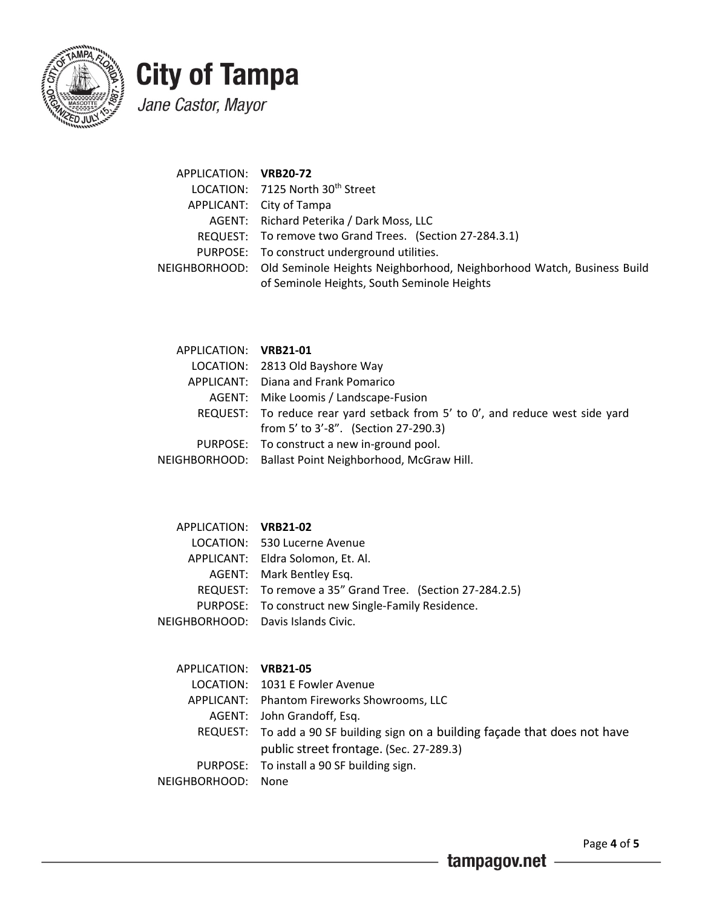

# **City of Tampa**

Jane Castor, Mayor

| APPLICATION: VRB20-72 |                                                                                     |
|-----------------------|-------------------------------------------------------------------------------------|
|                       | LOCATION: 7125 North 30th Street                                                    |
|                       | APPLICANT: City of Tampa                                                            |
|                       | AGENT: Richard Peterika / Dark Moss, LLC                                            |
|                       | REQUEST: To remove two Grand Trees. (Section 27-284.3.1)                            |
|                       | PURPOSE: To construct underground utilities.                                        |
|                       | NEIGHBORHOOD: Old Seminole Heights Neighborhood, Neighborhood Watch, Business Build |
|                       | of Seminole Heights, South Seminole Heights                                         |

| APPLICATION: VRB21-01 |                                                                                  |
|-----------------------|----------------------------------------------------------------------------------|
|                       | LOCATION: 2813 Old Bayshore Way                                                  |
|                       | APPLICANT: Diana and Frank Pomarico                                              |
|                       | AGENT: Mike Loomis / Landscape-Fusion                                            |
|                       | REQUEST: To reduce rear yard setback from 5' to $0'$ , and reduce west side yard |
|                       | from 5' to 3'-8". (Section 27-290.3)                                             |
|                       | PURPOSE: To construct a new in-ground pool.                                      |
|                       | NEIGHBORHOOD: Ballast Point Neighborhood, McGraw Hill.                           |

| APPLICATION: VRB21-02 |                                                           |
|-----------------------|-----------------------------------------------------------|
|                       | LOCATION: 530 Lucerne Avenue                              |
|                       | APPLICANT: Eldra Solomon, Et. Al.                         |
|                       | AGENT: Mark Bentley Esq.                                  |
|                       | REQUEST: To remove a 35" Grand Tree. (Section 27-284.2.5) |
|                       | PURPOSE: To construct new Single-Family Residence.        |
|                       | NEIGHBORHOOD: Davis Islands Civic.                        |

| APPLICATION: VRB21-05 |                                                                               |
|-----------------------|-------------------------------------------------------------------------------|
|                       | LOCATION: 1031 E Fowler Avenue                                                |
|                       | APPLICANT: Phantom Fireworks Showrooms, LLC                                   |
|                       | AGENT: John Grandoff, Esq.                                                    |
|                       | REQUEST: To add a 90 SF building sign on a building facade that does not have |
|                       | public street frontage. (Sec. 27-289.3)                                       |
|                       | PURPOSE: To install a 90 SF building sign.                                    |
| NEIGHBORHOOD: None    |                                                                               |